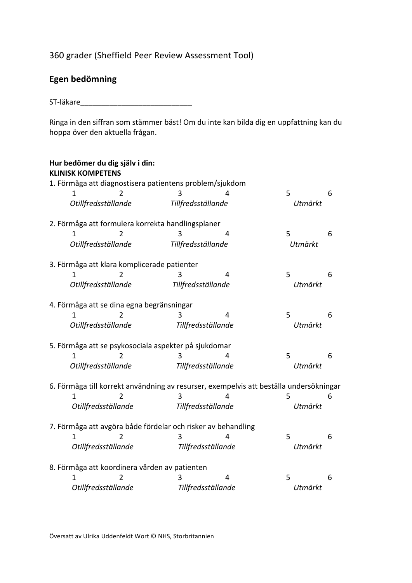## 360 grader (Sheffield Peer Review Assessment Tool)

## Egen bedömning

ST-läkare van de staat van de staat van de staat van de staat van de staat van de staat van de staat van de st

Ringa in den siffran som stämmer bäst! Om du inte kan bilda dig en uppfattning kan du hoppa över den aktuella frågan.

| Hur bedömer du dig själv i din:<br><b>KLINISK KOMPETENS</b> |                                                              |                    |                                                                                        |         |   |
|-------------------------------------------------------------|--------------------------------------------------------------|--------------------|----------------------------------------------------------------------------------------|---------|---|
|                                                             | 1. Förmåga att diagnostisera patientens problem/sjukdom      |                    |                                                                                        |         |   |
| 1                                                           |                                                              | 3                  |                                                                                        | 5       | 6 |
| Otillfredsställande                                         |                                                              | Tillfredsställande |                                                                                        | Utmärkt |   |
|                                                             | 2. Förmåga att formulera korrekta handlingsplaner            |                    |                                                                                        |         |   |
| 1                                                           | 2                                                            | 3                  | 4                                                                                      | 5       | 6 |
| Otillfredsställande                                         |                                                              | Tillfredsställande |                                                                                        | Utmärkt |   |
|                                                             | 3. Förmåga att klara komplicerade patienter                  |                    |                                                                                        |         |   |
| 1                                                           | $\mathcal{P}$                                                | 3                  | 4                                                                                      | 5       | 6 |
| Otillfredsställande                                         |                                                              | Tillfredsställande |                                                                                        | Utmärkt |   |
|                                                             | 4. Förmåga att se dina egna begränsningar                    |                    |                                                                                        |         |   |
| 1                                                           |                                                              | 3                  | 4                                                                                      | 5       | 6 |
| Otillfredsställande                                         |                                                              | Tillfredsställande |                                                                                        | Utmärkt |   |
|                                                             | 5. Förmåga att se psykosociala aspekter på sjukdomar         |                    |                                                                                        |         |   |
| 1                                                           |                                                              | 3                  | 4                                                                                      | 5       | 6 |
| Otillfredsställande                                         |                                                              | Tillfredsställande |                                                                                        | Utmärkt |   |
|                                                             |                                                              |                    | 6. Förmåga till korrekt användning av resurser, exempelvis att beställa undersökningar |         |   |
|                                                             |                                                              | 3                  |                                                                                        | 5       | 6 |
| Otillfredsställande                                         |                                                              | Tillfredsställande |                                                                                        | Utmärkt |   |
|                                                             | 7. Förmåga att avgöra både fördelar och risker av behandling |                    |                                                                                        |         |   |
| 1                                                           |                                                              | 3                  | 4                                                                                      | 5       | 6 |
| Otillfredsställande                                         |                                                              | Tillfredsställande |                                                                                        | Utmärkt |   |
|                                                             | 8. Förmåga att koordinera vården av patienten                |                    |                                                                                        |         |   |
|                                                             |                                                              |                    | 4                                                                                      | 5       | 6 |
| Otillfredsställande                                         |                                                              | Tillfredsställande |                                                                                        | Utmärkt |   |

Översatt av Ulrika Uddenfeldt Wort © NHS, Storbritannien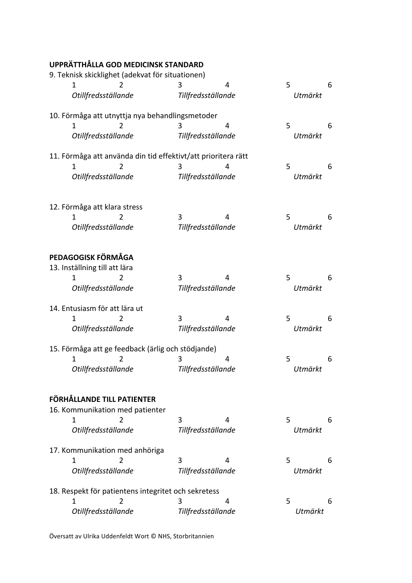| UPPRÄTTHÅLLA GOD MEDICINSK STANDARD                           |                    |   |   |         |   |
|---------------------------------------------------------------|--------------------|---|---|---------|---|
| 9. Teknisk skicklighet (adekvat för situationen)              |                    |   |   |         |   |
| 1<br>2                                                        | 3                  | 4 | 5 |         | 6 |
| Otillfredsställande                                           | Tillfredsställande |   |   | Utmärkt |   |
| 10. Förmåga att utnyttja nya behandlingsmetoder               |                    |   |   |         |   |
| 2<br>1.                                                       | 3                  | 4 | 5 |         | 6 |
| Otillfredsställande                                           | Tillfredsställande |   |   | Utmärkt |   |
| 11. Förmåga att använda din tid effektivt/att prioritera rätt |                    |   |   |         |   |
| 1                                                             | 3                  | 4 | 5 |         | 6 |
| Otillfredsställande                                           | Tillfredsställande |   |   | Utmärkt |   |
|                                                               |                    |   |   |         |   |
| 12. Förmåga att klara stress                                  |                    |   |   |         |   |
|                                                               |                    |   |   |         |   |
| 1.<br>2                                                       | 3                  | 4 | 5 |         | 6 |
| Otillfredsställande                                           | Tillfredsställande |   |   | Utmärkt |   |
| PEDAGOGISK FÖRMÅGA                                            |                    |   |   |         |   |
|                                                               |                    |   |   |         |   |
| 13. Inställning till att lära                                 |                    |   |   |         |   |
| 2                                                             | 3                  | 4 | 5 |         | 6 |
| Otillfredsställande                                           | Tillfredsställande |   |   | Utmärkt |   |
| 14. Entusiasm för att lära ut                                 |                    |   |   |         |   |
| 2                                                             | 3                  | 4 | 5 |         | 6 |
| Otillfredsställande                                           | Tillfredsställande |   |   | Utmärkt |   |
| 15. Förmåga att ge feedback (ärlig och stödjande)             |                    |   |   |         |   |
| 2                                                             | 3                  | 4 | 5 |         | 6 |
| Otillfredsställande                                           | Tillfredsställande |   |   | Utmärkt |   |
|                                                               |                    |   |   |         |   |
| FÖRHÅLLANDE TILL PATIENTER                                    |                    |   |   |         |   |
| 16. Kommunikation med patienter                               |                    |   |   |         |   |
| 2<br>1                                                        | 3                  | 4 | 5 |         | 6 |
| Otillfredsställande                                           | Tillfredsställande |   |   | Utmärkt |   |
| 17. Kommunikation med anhöriga                                |                    |   |   |         |   |
| 1<br>2                                                        | 3                  | 4 | 5 |         | 6 |
| Otillfredsställande                                           | Tillfredsställande |   |   | Utmärkt |   |
| 18. Respekt för patientens integritet och sekretess           |                    |   |   |         |   |
| 2<br>1                                                        | 3                  | 4 | 5 |         | 6 |
| Otillfredsställande                                           | Tillfredsställande |   |   | Utmärkt |   |
|                                                               |                    |   |   |         |   |

Översatt av Ulrika Uddenfeldt Wort © NHS, Storbritannien